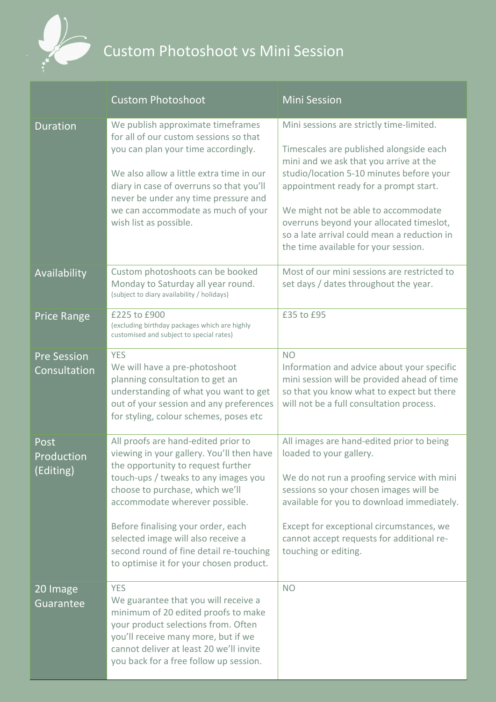

## Custom Photoshoot vs Mini Session

|                                    | <b>Custom Photoshoot</b>                                                                                                                                                                                                                                                                                                                                                                              | <b>Mini Session</b>                                                                                                                                                                                                                                                                                                                                                                          |
|------------------------------------|-------------------------------------------------------------------------------------------------------------------------------------------------------------------------------------------------------------------------------------------------------------------------------------------------------------------------------------------------------------------------------------------------------|----------------------------------------------------------------------------------------------------------------------------------------------------------------------------------------------------------------------------------------------------------------------------------------------------------------------------------------------------------------------------------------------|
| <b>Duration</b>                    | We publish approximate timeframes<br>for all of our custom sessions so that<br>you can plan your time accordingly.<br>We also allow a little extra time in our<br>diary in case of overruns so that you'll<br>never be under any time pressure and<br>we can accommodate as much of your<br>wish list as possible.                                                                                    | Mini sessions are strictly time-limited.<br>Timescales are published alongside each<br>mini and we ask that you arrive at the<br>studio/location 5-10 minutes before your<br>appointment ready for a prompt start.<br>We might not be able to accommodate<br>overruns beyond your allocated timeslot,<br>so a late arrival could mean a reduction in<br>the time available for your session. |
| Availability                       | Custom photoshoots can be booked<br>Monday to Saturday all year round.<br>(subject to diary availability / holidays)                                                                                                                                                                                                                                                                                  | Most of our mini sessions are restricted to<br>set days / dates throughout the year.                                                                                                                                                                                                                                                                                                         |
| <b>Price Range</b>                 | £225 to £900<br>(excluding birthday packages which are highly<br>customised and subject to special rates)                                                                                                                                                                                                                                                                                             | £35 to £95                                                                                                                                                                                                                                                                                                                                                                                   |
| <b>Pre Session</b><br>Consultation | <b>YES</b><br>We will have a pre-photoshoot<br>planning consultation to get an<br>understanding of what you want to get<br>out of your session and any preferences<br>for styling, colour schemes, poses etc                                                                                                                                                                                          | <b>NO</b><br>Information and advice about your specific<br>mini session will be provided ahead of time<br>so that you know what to expect but there<br>will not be a full consultation process.                                                                                                                                                                                              |
| Post<br>Production<br>(Editing)    | All proofs are hand-edited prior to<br>viewing in your gallery. You'll then have<br>the opportunity to request further<br>touch-ups / tweaks to any images you<br>choose to purchase, which we'll<br>accommodate wherever possible.<br>Before finalising your order, each<br>selected image will also receive a<br>second round of fine detail re-touching<br>to optimise it for your chosen product. | All images are hand-edited prior to being<br>loaded to your gallery.<br>We do not run a proofing service with mini<br>sessions so your chosen images will be<br>available for you to download immediately.<br>Except for exceptional circumstances, we<br>cannot accept requests for additional re-<br>touching or editing.                                                                  |
| 20 Image<br>Guarantee              | <b>YES</b><br>We guarantee that you will receive a<br>minimum of 20 edited proofs to make<br>your product selections from. Often<br>you'll receive many more, but if we<br>cannot deliver at least 20 we'll invite<br>you back for a free follow up session.                                                                                                                                          | <b>NO</b>                                                                                                                                                                                                                                                                                                                                                                                    |